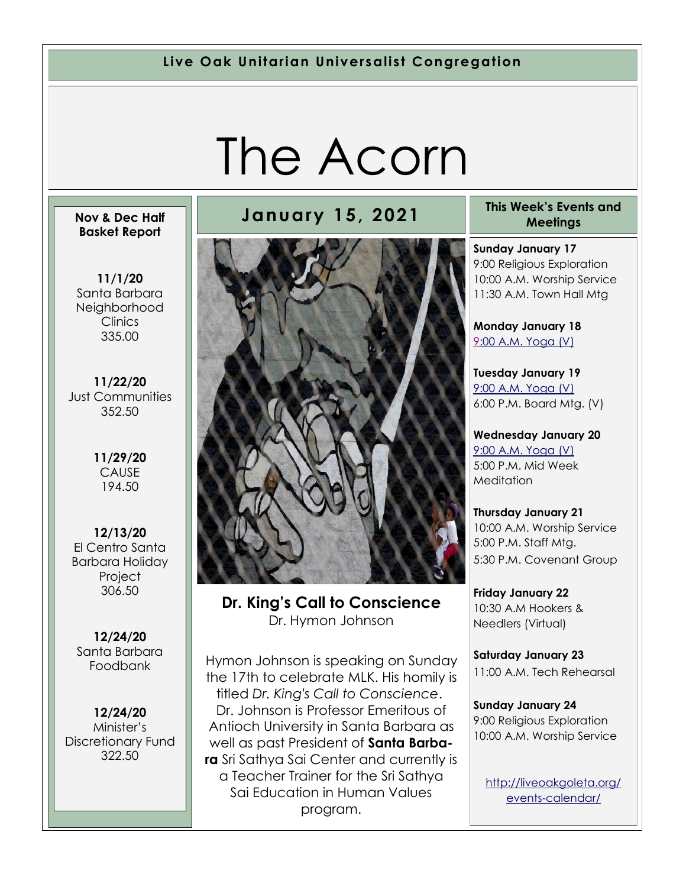**Live Oak Unitarian Universalist Congregation**

# The Acorn

#### **Nov & Dec Half Basket Report**

**11/1/20** Santa Barbara **Neighborhood Clinics** 335.00

**11/22/20** Just Communities 352.50

> **11/29/20** CAUSE 194.50

**12/13/20** El Centro Santa Barbara Holiday **Project** 306.50

**12/24/20** Santa Barbara Foodbank

**12/24/20** Minister's Discretionary Fund 322.50



**Dr. King's Call to Conscience**  Dr. Hymon Johnson

Hymon Johnson is speaking on Sunday the 17th to celebrate MLK. His homily is titled *Dr. King's Call to Conscience*. Dr. Johnson is Professor Emeritous of Antioch University in Santa Barbara as well as past President of **Santa Barbara** Sri Sathya Sai Center and currently is a Teacher Trainer for the Sri Sathya Sai Education in Human Values program.

#### **January 15, 2021 This Week's Events and Meetings**

**Sunday January 17** 9:00 Religious Exploration 10:00 A.M. Worship Service 11:30 A.M. Town Hall Mtg

**Monday January 18** [9:](https://us02web.zoom.us/meeting/register/tZ0pc-6qrTwqH9WUfmrB_nZu0MWqJ8CyS3Uw)[00 A.M. Yoga \(V\)](https://us02web.zoom.us/j/86278199291?pwd=WUh1MFJyVXNVOTIyQ1NmanJoSmNXQT09)

**Tuesday January 19** [9:00 A.M. Yoga \(V\)](https://us02web.zoom.us/meeting/register/tZ0pc-6qrTwqH9WUfmrB_nZu0MWqJ8CyS3Uw) 6:00 P.M. Board Mtg. (V)

**Wednesday January 20** [9:00 A.M. Yoga \(V\)](https://us02web.zoom.us/meeting/register/tZ0pc-6qrTwqH9WUfmrB_nZu0MWqJ8CyS3Uw) 5:00 P.M. Mid Week **Meditation** 

**Thursday January 21** 10:00 A.M. Worship Service 5:00 P.M. Staff Mtg. 5:30 P.M. Covenant Group

**Friday January 22** 10:30 A.M Hookers & Needlers (Virtual)

**Saturday January 23** 11:00 A.M. Tech Rehearsal

**Sunday January 24** 9:00 Religious Exploration 10:00 A.M. Worship Service

[http://liveoakgoleta.org/](http://liveoakgoleta.org/events-calendar/) [events-calendar/](http://liveoakgoleta.org/events-calendar/)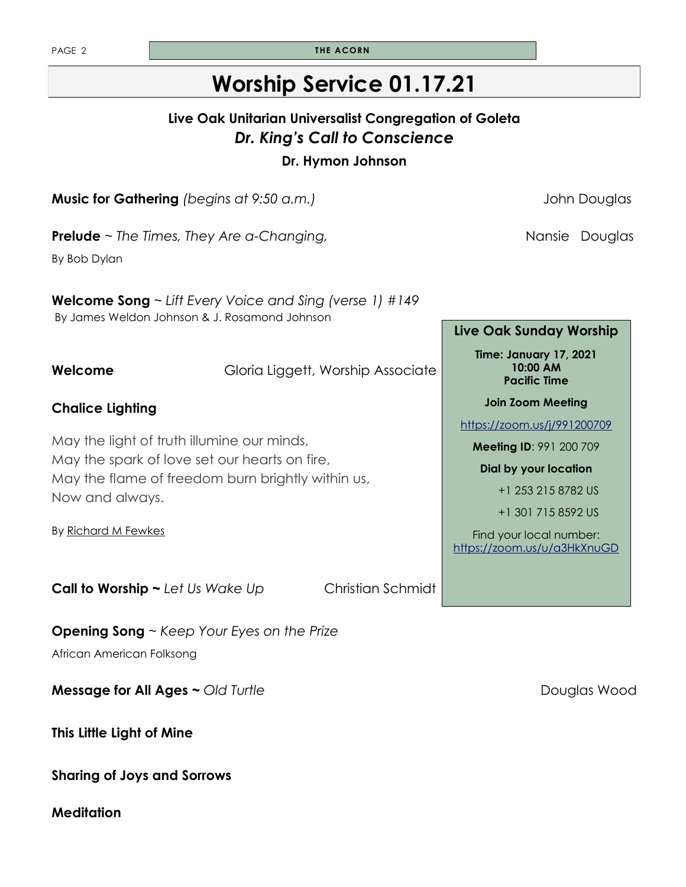| <b>THE ACORN</b>                                                                        |
|-----------------------------------------------------------------------------------------|
| <b>Worship Service 01.17.21</b>                                                         |
| Live Oak Unitarian Universalist Congregation of Goleta<br>Dr. King's Call to Conscience |

**Dr. Hymon Johnson** 

**Music for Gathering** *(begins at 9:50 a.m.)* **Comparished and Solution Douglas** John Douglas

**Prelude** ~ *The Times, They Are a-Changing,* and the same of the Mansie Douglas

By Bob Dylan

**Chalice Lighting**

Now and always.

By [Richard M Fewkes](https://www.uua.org/offices/people/richard-m-fewkes)

**Welcome Song** ~ *Lift Every Voice and Sing (verse 1) #149* By James Weldon Johnson & J. Rosamond Johnson

**Welcome** Gloria Liggett, Worship Associate

#### **Live Oak Sunday Worship**

**Time: January 17, 2021 10:00 AM Pacific Time** 

**Join Zoom Meeting** 

<https://zoom.us/j/991200709>

**Meeting ID**: 991 200 709

**Dial by your location** 

+1 253 215 8782 US

+1 301 715 8592 US

Find your local number: <https://zoom.us/u/a3HkXnuGD>

**Call to Worship ~ Let Us Wake Up Christian Schmidt** 

May the light of truth illumine our minds, May the spark of love set our hearts on fire,

May the flame of freedom burn brightly within us,

**Opening Song** ~ *Keep Your Eyes on the Prize* African American Folksong

**Message for All Ages ~ Old Turtle <b>Constrainers** Douglas Wood

**This Little Light of Mine**

**Sharing of Joys and Sorrows**

**Meditation**

PAGE 2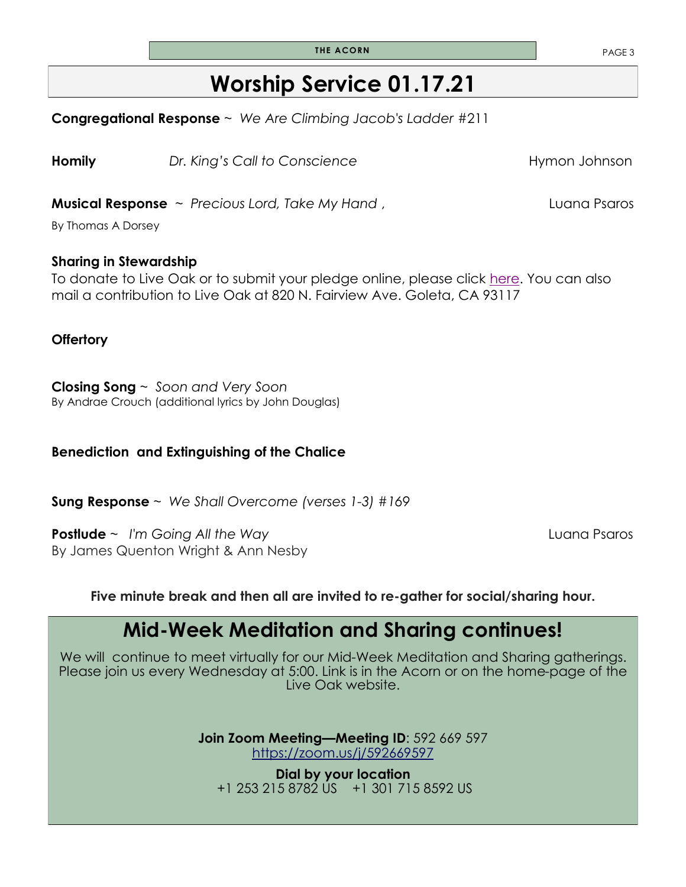**THE ACORN PAGE 3** 

### **Worship Service 01.17.21**

**Congregational Response** ~ *We Are Climbing Jacob's Ladder* #211

**Homily** *Dr. King's Call to Conscience* **Hymon Johnson** 

**Musical Response**  $\sim$  *Precious Lord, Take My Hand* , The manner of the Luana Psaros

By Thomas A Dorsey

### **Sharing in Stewardship**

To donate to Live Oak or to submit your pledge online, please click [here.](http://www.liveoakgoleta.org) You can also mail a contribution to Live Oak at 820 N. Fairview Ave. Goleta, CA 93117

### **Offertory**

**Closing Song** ~ *Soon and Very Soon* By Andrae Crouch (additional lyrics by John Douglas)

### **Benediction and Extinguishing of the Chalice**

**Sung Response** ~ *We Shall Overcome (verses 1-3) #169*

**Postlude** ~ *I'm Going All the Way* Luana Psaros By James Quenton Wright & Ann Nesby

**Five minute break and then all are invited to re-gather for social/sharing hour.**

### **Mid-Week Meditation and Sharing continues!**

We will continue to meet virtually for our Mid-Week Meditation and Sharing gatherings. Please join us every Wednesday at 5:00. Link is in the Acorn or on the home-page of the Live Oak website.

> **Join Zoom Meeting—Meeting ID**: 592 669 597 <https://zoom.us/j/592669597>

**Dial by your location** +1 253 215 8782 US +1 301 715 8592 US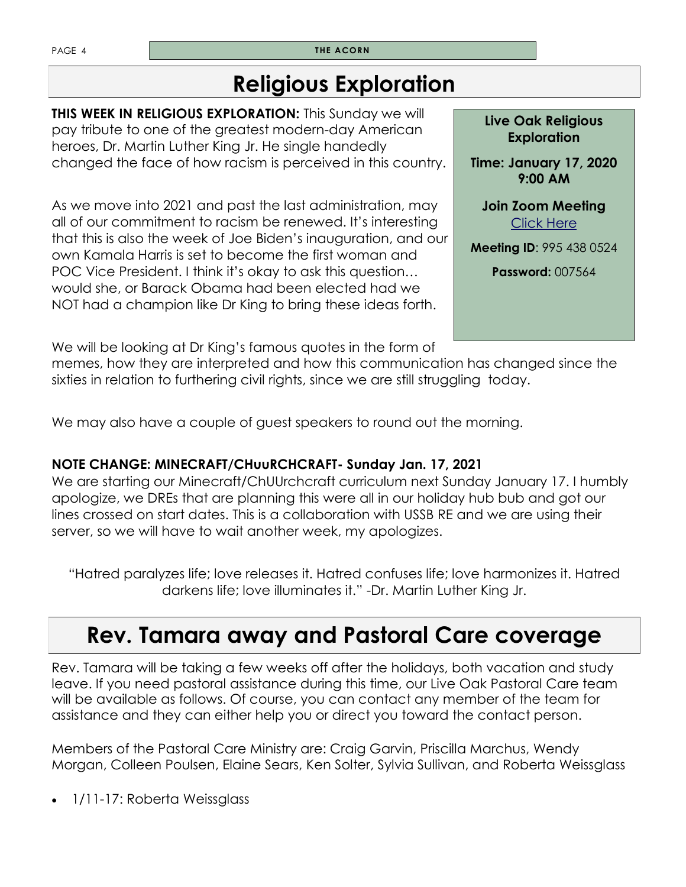PAGE 4 **THE ACORN** 

### **Religious Exploration**

**THIS WEEK IN RELIGIOUS EXPLORATION:** This Sunday we will pay tribute to one of the greatest modern-day American heroes, Dr. Martin Luther King Jr. He single handedly changed the face of how racism is perceived in this country.

As we move into 2021 and past the last administration, may all of our commitment to racism be renewed. It's interesting that this is also the week of Joe Biden's inauguration, and our own Kamala Harris is set to become the first woman and POC Vice President. I think it's okay to ask this question… would she, or Barack Obama had been elected had we NOT had a champion like Dr King to bring these ideas forth.

**Live Oak Religious Exploration** 

**Time: January 17, 2020 9:00 AM** 

**Join Zoom Meeting**  [Click Here](https://zoom.us/j/9954380524?pwd=UzZORVVKbnhBamtqT2craHE0Y255UT09)

**Meeting ID**: 995 438 0524

**Password:** 007564

We will be looking at Dr King's famous quotes in the form of

memes, how they are interpreted and how this communication has changed since the sixties in relation to furthering civil rights, since we are still struggling today.

We may also have a couple of guest speakers to round out the morning.

### **NOTE CHANGE: MINECRAFT/CHuuRCHCRAFT- Sunday Jan. 17, 2021**

We are starting our Minecraft/ChUUrchcraft curriculum next Sunday January 17. I humbly apologize, we DREs that are planning this were all in our holiday hub bub and got our lines crossed on start dates. This is a collaboration with USSB RE and we are using their server, so we will have to wait another week, my apologizes.

"Hatred paralyzes life; love releases it. Hatred confuses life; love harmonizes it. Hatred darkens life; love illuminates it." -Dr. Martin Luther King Jr.

### **Rev. Tamara away and Pastoral Care coverage**

Rev. Tamara will be taking a few weeks off after the holidays, both vacation and study leave. If you need pastoral assistance during this time, our Live Oak Pastoral Care team will be available as follows. Of course, you can contact any member of the team for assistance and they can either help you or direct you toward the contact person.

Members of the Pastoral Care Ministry are: Craig Garvin, Priscilla Marchus, Wendy Morgan, Colleen Poulsen, Elaine Sears, Ken Solter, Sylvia Sullivan, and Roberta Weissglass

• 1/11-17: Roberta Weissglass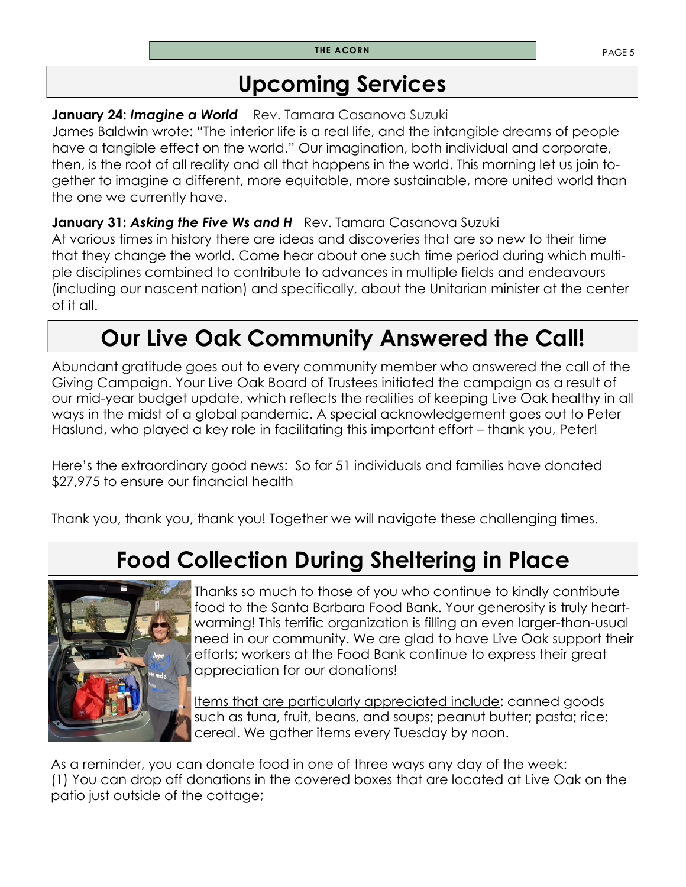### **Upcoming Services**

### **January 24: Imagine a World** Rev. Tamara Casanova Suzuki

James Baldwin wrote: "The interior life is a real life, and the intangible dreams of people have a tangible effect on the world." Our imagination, both individual and corporate, then, is the root of all reality and all that happens in the world. This morning let us join together to imagine a different, more equitable, more sustainable, more united world than the one we currently have.

### **January 31: Asking the Five Ws and H** Rev. Tamara Casanova Suzuki

At various times in history there are ideas and discoveries that are so new to their time that they change the world. Come hear about one such time period during which multiple disciplines combined to contribute to advances in multiple fields and endeavours (including our nascent nation) and specifically, about the Unitarian minister at the center of it all.

## **Our Live Oak Community Answered the Call!**

Abundant gratitude goes out to every community member who answered the call of the Giving Campaign. Your Live Oak Board of Trustees initiated the campaign as a result of our mid-year budget update, which reflects the realities of keeping Live Oak healthy in all ways in the midst of a global pandemic. A special acknowledgement goes out to Peter Haslund, who played a key role in facilitating this important effort – thank you, Peter!

Here's the extraordinary good news: So far 51 individuals and families have donated \$27,975 to ensure our financial health

Thank you, thank you, thank you! Together we will navigate these challenging times.

# **Food Collection During Sheltering in Place**



Thanks so much to those of you who continue to kindly contribute food to the Santa Barbara Food Bank. Your generosity is truly heartwarming! This terrific organization is filling an even larger-than-usual need in our community. We are glad to have Live Oak support their efforts; workers at the Food Bank continue to express their great appreciation for our donations!

Items that are particularly appreciated include: canned goods such as tuna, fruit, beans, and soups; peanut butter; pasta; rice; cereal. We gather items every Tuesday by noon.

As a reminder, you can donate food in one of three ways any day of the week: (1) You can drop off donations in the covered boxes that are located at Live Oak on the patio just outside of the cottage;